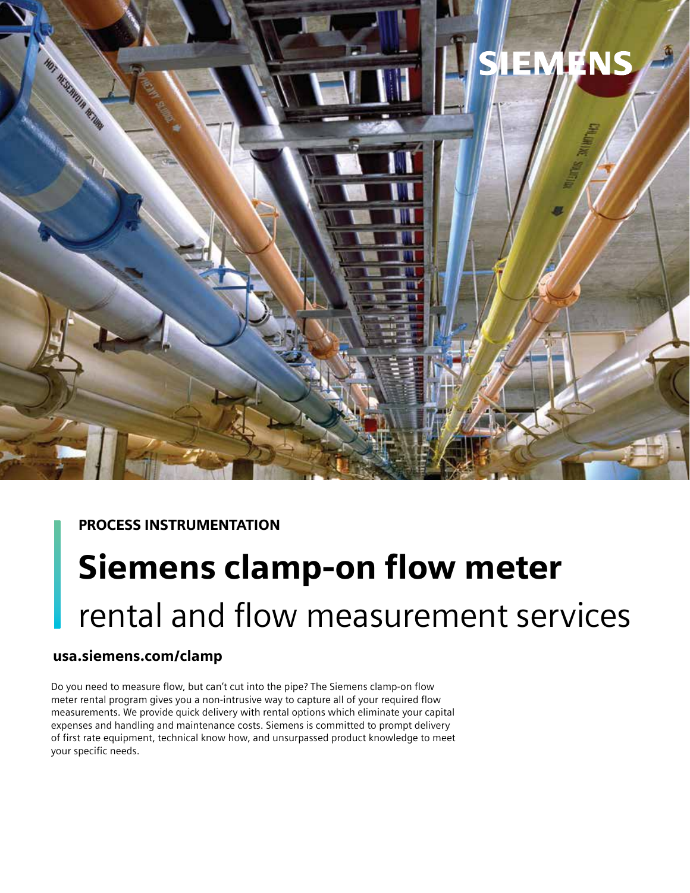

# PROCESS INSTRUMENTATION

# Siemens clamp-on flow meter rental and flow measurement services

# usa.siemens.com/clamp

Do you need to measure flow, but can't cut into the pipe? The Siemens clamp-on flow meter rental program gives you a non-intrusive way to capture all of your required flow measurements. We provide quick delivery with rental options which eliminate your capital expenses and handling and maintenance costs. Siemens is committed to prompt delivery of first rate equipment, technical know how, and unsurpassed product knowledge to meet your specific needs.